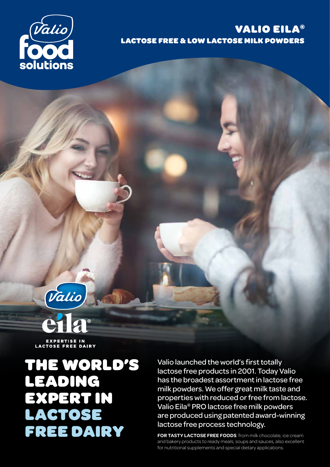

## VALIO EILA® LACTOSE FREE & LOW LACTOSE MILK POWDERS



EXPERTISE IN<br>LACTOSE FREE DAIRY

THE WORLD'S LEADING EXPERT IN LACTOSE FREE DAIRY

Valio launched the world's first totally lactose free products in 2001. Today Valio has the broadest assortment in lactose free milk powders. We offer great milk taste and properties with reduced or free from lactose. Valio Eila® PRO lactose free milk powders are produced using patented award-winning lactose free process technology.

**FOR TASTY LACTOSE FREE FOODS** from milk chocolate, ice cream and bakery products to ready meals, soups and sauces, also excellent for nutritional supplements and special dietary applications.